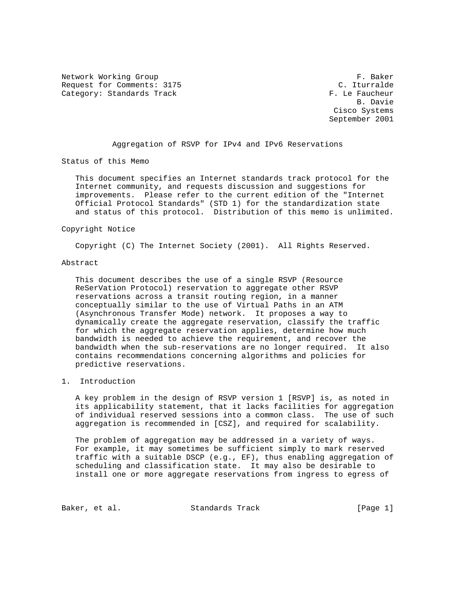Network Working Group The Comments: 3175 F. Baker C. Iturralde Request for Comments: 3175 Category: Standards Track F. Le Faucheur

 B. Davie Cisco Systems September 2001

Aggregation of RSVP for IPv4 and IPv6 Reservations

Status of this Memo

 This document specifies an Internet standards track protocol for the Internet community, and requests discussion and suggestions for improvements. Please refer to the current edition of the "Internet Official Protocol Standards" (STD 1) for the standardization state and status of this protocol. Distribution of this memo is unlimited.

#### Copyright Notice

Copyright (C) The Internet Society (2001). All Rights Reserved.

## Abstract

 This document describes the use of a single RSVP (Resource ReSerVation Protocol) reservation to aggregate other RSVP reservations across a transit routing region, in a manner conceptually similar to the use of Virtual Paths in an ATM (Asynchronous Transfer Mode) network. It proposes a way to dynamically create the aggregate reservation, classify the traffic for which the aggregate reservation applies, determine how much bandwidth is needed to achieve the requirement, and recover the bandwidth when the sub-reservations are no longer required. It also contains recommendations concerning algorithms and policies for predictive reservations.

## 1. Introduction

 A key problem in the design of RSVP version 1 [RSVP] is, as noted in its applicability statement, that it lacks facilities for aggregation of individual reserved sessions into a common class. The use of such aggregation is recommended in [CSZ], and required for scalability.

 The problem of aggregation may be addressed in a variety of ways. For example, it may sometimes be sufficient simply to mark reserved traffic with a suitable DSCP (e.g., EF), thus enabling aggregation of scheduling and classification state. It may also be desirable to install one or more aggregate reservations from ingress to egress of

Baker, et al. Standards Track [Page 1]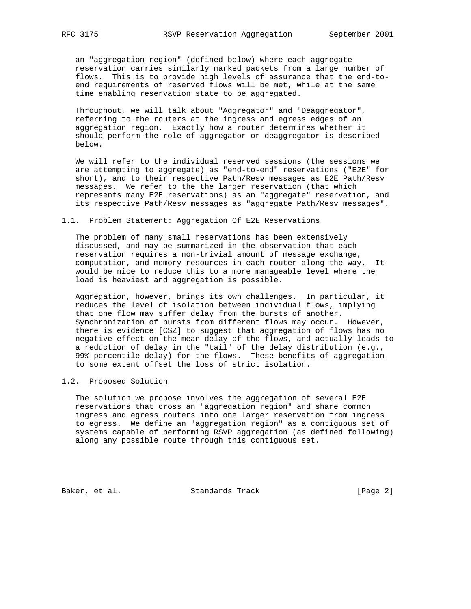an "aggregation region" (defined below) where each aggregate reservation carries similarly marked packets from a large number of flows. This is to provide high levels of assurance that the end-to end requirements of reserved flows will be met, while at the same time enabling reservation state to be aggregated.

 Throughout, we will talk about "Aggregator" and "Deaggregator", referring to the routers at the ingress and egress edges of an aggregation region. Exactly how a router determines whether it should perform the role of aggregator or deaggregator is described below.

 We will refer to the individual reserved sessions (the sessions we are attempting to aggregate) as "end-to-end" reservations ("E2E" for short), and to their respective Path/Resv messages as E2E Path/Resv messages. We refer to the the larger reservation (that which represents many E2E reservations) as an "aggregate" reservation, and its respective Path/Resv messages as "aggregate Path/Resv messages".

#### 1.1. Problem Statement: Aggregation Of E2E Reservations

 The problem of many small reservations has been extensively discussed, and may be summarized in the observation that each reservation requires a non-trivial amount of message exchange, computation, and memory resources in each router along the way. It would be nice to reduce this to a more manageable level where the load is heaviest and aggregation is possible.

 Aggregation, however, brings its own challenges. In particular, it reduces the level of isolation between individual flows, implying that one flow may suffer delay from the bursts of another. Synchronization of bursts from different flows may occur. However, there is evidence [CSZ] to suggest that aggregation of flows has no negative effect on the mean delay of the flows, and actually leads to a reduction of delay in the "tail" of the delay distribution (e.g., 99% percentile delay) for the flows. These benefits of aggregation to some extent offset the loss of strict isolation.

## 1.2. Proposed Solution

 The solution we propose involves the aggregation of several E2E reservations that cross an "aggregation region" and share common ingress and egress routers into one larger reservation from ingress to egress. We define an "aggregation region" as a contiguous set of systems capable of performing RSVP aggregation (as defined following) along any possible route through this contiguous set.

Baker, et al. Standards Track [Page 2]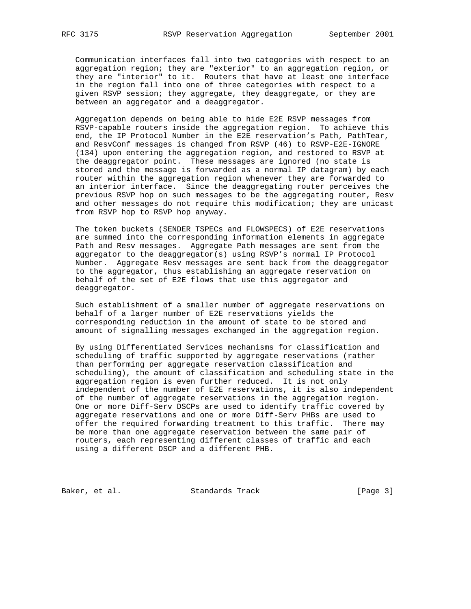Communication interfaces fall into two categories with respect to an aggregation region; they are "exterior" to an aggregation region, or they are "interior" to it. Routers that have at least one interface in the region fall into one of three categories with respect to a given RSVP session; they aggregate, they deaggregate, or they are between an aggregator and a deaggregator.

 Aggregation depends on being able to hide E2E RSVP messages from RSVP-capable routers inside the aggregation region. To achieve this end, the IP Protocol Number in the E2E reservation's Path, PathTear, and ResvConf messages is changed from RSVP (46) to RSVP-E2E-IGNORE (134) upon entering the aggregation region, and restored to RSVP at the deaggregator point. These messages are ignored (no state is stored and the message is forwarded as a normal IP datagram) by each router within the aggregation region whenever they are forwarded to an interior interface. Since the deaggregating router perceives the previous RSVP hop on such messages to be the aggregating router, Resv and other messages do not require this modification; they are unicast from RSVP hop to RSVP hop anyway.

 The token buckets (SENDER\_TSPECs and FLOWSPECS) of E2E reservations are summed into the corresponding information elements in aggregate Path and Resv messages. Aggregate Path messages are sent from the aggregator to the deaggregator(s) using RSVP's normal IP Protocol Number. Aggregate Resv messages are sent back from the deaggregator to the aggregator, thus establishing an aggregate reservation on behalf of the set of E2E flows that use this aggregator and deaggregator.

 Such establishment of a smaller number of aggregate reservations on behalf of a larger number of E2E reservations yields the corresponding reduction in the amount of state to be stored and amount of signalling messages exchanged in the aggregation region.

 By using Differentiated Services mechanisms for classification and scheduling of traffic supported by aggregate reservations (rather than performing per aggregate reservation classification and scheduling), the amount of classification and scheduling state in the aggregation region is even further reduced. It is not only independent of the number of E2E reservations, it is also independent of the number of aggregate reservations in the aggregation region. One or more Diff-Serv DSCPs are used to identify traffic covered by aggregate reservations and one or more Diff-Serv PHBs are used to offer the required forwarding treatment to this traffic. There may be more than one aggregate reservation between the same pair of routers, each representing different classes of traffic and each using a different DSCP and a different PHB.

Baker, et al. Standards Track [Page 3]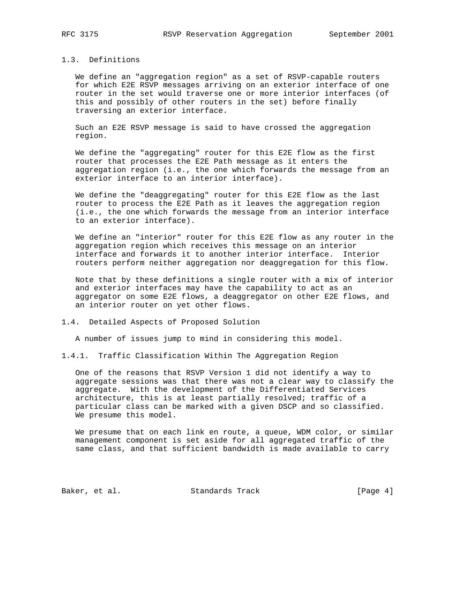## 1.3. Definitions

 We define an "aggregation region" as a set of RSVP-capable routers for which E2E RSVP messages arriving on an exterior interface of one router in the set would traverse one or more interior interfaces (of this and possibly of other routers in the set) before finally traversing an exterior interface.

 Such an E2E RSVP message is said to have crossed the aggregation region.

 We define the "aggregating" router for this E2E flow as the first router that processes the E2E Path message as it enters the aggregation region (i.e., the one which forwards the message from an exterior interface to an interior interface).

 We define the "deaggregating" router for this E2E flow as the last router to process the E2E Path as it leaves the aggregation region (i.e., the one which forwards the message from an interior interface to an exterior interface).

 We define an "interior" router for this E2E flow as any router in the aggregation region which receives this message on an interior interface and forwards it to another interior interface. Interior routers perform neither aggregation nor deaggregation for this flow.

 Note that by these definitions a single router with a mix of interior and exterior interfaces may have the capability to act as an aggregator on some E2E flows, a deaggregator on other E2E flows, and an interior router on yet other flows.

1.4. Detailed Aspects of Proposed Solution

A number of issues jump to mind in considering this model.

1.4.1. Traffic Classification Within The Aggregation Region

 One of the reasons that RSVP Version 1 did not identify a way to aggregate sessions was that there was not a clear way to classify the aggregate. With the development of the Differentiated Services architecture, this is at least partially resolved; traffic of a particular class can be marked with a given DSCP and so classified. We presume this model.

 We presume that on each link en route, a queue, WDM color, or similar management component is set aside for all aggregated traffic of the same class, and that sufficient bandwidth is made available to carry

Baker, et al. Standards Track [Page 4]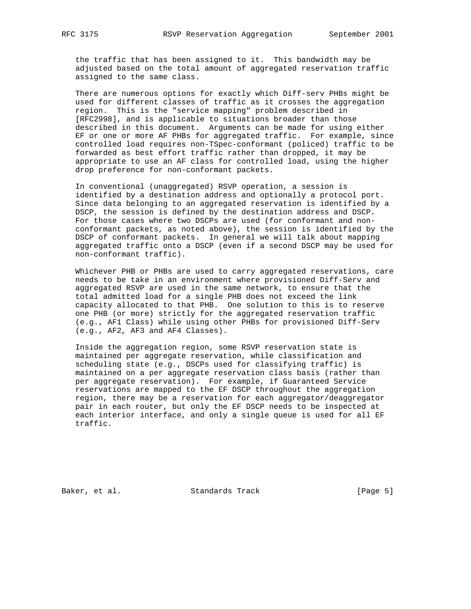the traffic that has been assigned to it. This bandwidth may be adjusted based on the total amount of aggregated reservation traffic assigned to the same class.

 There are numerous options for exactly which Diff-serv PHBs might be used for different classes of traffic as it crosses the aggregation region. This is the "service mapping" problem described in [RFC2998], and is applicable to situations broader than those described in this document. Arguments can be made for using either EF or one or more AF PHBs for aggregated traffic. For example, since controlled load requires non-TSpec-conformant (policed) traffic to be forwarded as best effort traffic rather than dropped, it may be appropriate to use an AF class for controlled load, using the higher drop preference for non-conformant packets.

 In conventional (unaggregated) RSVP operation, a session is identified by a destination address and optionally a protocol port. Since data belonging to an aggregated reservation is identified by a DSCP, the session is defined by the destination address and DSCP. For those cases where two DSCPs are used (for conformant and non conformant packets, as noted above), the session is identified by the DSCP of conformant packets. In general we will talk about mapping aggregated traffic onto a DSCP (even if a second DSCP may be used for non-conformant traffic).

 Whichever PHB or PHBs are used to carry aggregated reservations, care needs to be take in an environment where provisioned Diff-Serv and aggregated RSVP are used in the same network, to ensure that the total admitted load for a single PHB does not exceed the link capacity allocated to that PHB. One solution to this is to reserve one PHB (or more) strictly for the aggregated reservation traffic (e.g., AF1 Class) while using other PHBs for provisioned Diff-Serv (e.g., AF2, AF3 and AF4 Classes).

 Inside the aggregation region, some RSVP reservation state is maintained per aggregate reservation, while classification and scheduling state (e.g., DSCPs used for classifying traffic) is maintained on a per aggregate reservation class basis (rather than per aggregate reservation). For example, if Guaranteed Service reservations are mapped to the EF DSCP throughout the aggregation region, there may be a reservation for each aggregator/deaggregator pair in each router, but only the EF DSCP needs to be inspected at each interior interface, and only a single queue is used for all EF traffic.

Baker, et al. Standards Track [Page 5]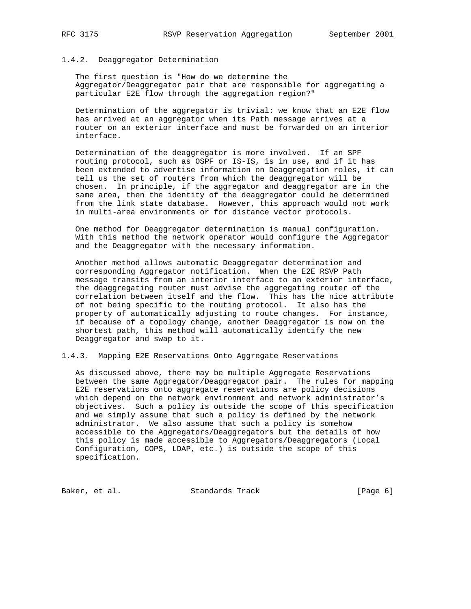### 1.4.2. Deaggregator Determination

 The first question is "How do we determine the Aggregator/Deaggregator pair that are responsible for aggregating a particular E2E flow through the aggregation region?"

 Determination of the aggregator is trivial: we know that an E2E flow has arrived at an aggregator when its Path message arrives at a router on an exterior interface and must be forwarded on an interior interface.

 Determination of the deaggregator is more involved. If an SPF routing protocol, such as OSPF or IS-IS, is in use, and if it has been extended to advertise information on Deaggregation roles, it can tell us the set of routers from which the deaggregator will be chosen. In principle, if the aggregator and deaggregator are in the same area, then the identity of the deaggregator could be determined from the link state database. However, this approach would not work in multi-area environments or for distance vector protocols.

 One method for Deaggregator determination is manual configuration. With this method the network operator would configure the Aggregator and the Deaggregator with the necessary information.

 Another method allows automatic Deaggregator determination and corresponding Aggregator notification. When the E2E RSVP Path message transits from an interior interface to an exterior interface, the deaggregating router must advise the aggregating router of the correlation between itself and the flow. This has the nice attribute of not being specific to the routing protocol. It also has the property of automatically adjusting to route changes. For instance, if because of a topology change, another Deaggregator is now on the shortest path, this method will automatically identify the new Deaggregator and swap to it.

1.4.3. Mapping E2E Reservations Onto Aggregate Reservations

 As discussed above, there may be multiple Aggregate Reservations between the same Aggregator/Deaggregator pair. The rules for mapping E2E reservations onto aggregate reservations are policy decisions which depend on the network environment and network administrator's objectives. Such a policy is outside the scope of this specification and we simply assume that such a policy is defined by the network administrator. We also assume that such a policy is somehow accessible to the Aggregators/Deaggregators but the details of how this policy is made accessible to Aggregators/Deaggregators (Local Configuration, COPS, LDAP, etc.) is outside the scope of this specification.

Baker, et al. Standards Track [Page 6]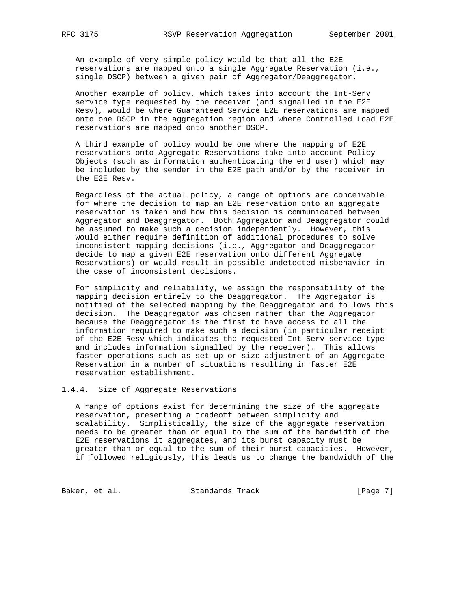An example of very simple policy would be that all the E2E reservations are mapped onto a single Aggregate Reservation (i.e., single DSCP) between a given pair of Aggregator/Deaggregator.

 Another example of policy, which takes into account the Int-Serv service type requested by the receiver (and signalled in the E2E Resv), would be where Guaranteed Service E2E reservations are mapped onto one DSCP in the aggregation region and where Controlled Load E2E reservations are mapped onto another DSCP.

 A third example of policy would be one where the mapping of E2E reservations onto Aggregate Reservations take into account Policy Objects (such as information authenticating the end user) which may be included by the sender in the E2E path and/or by the receiver in the E2E Resv.

 Regardless of the actual policy, a range of options are conceivable for where the decision to map an E2E reservation onto an aggregate reservation is taken and how this decision is communicated between Aggregator and Deaggregator. Both Aggregator and Deaggregator could be assumed to make such a decision independently. However, this would either require definition of additional procedures to solve inconsistent mapping decisions (i.e., Aggregator and Deaggregator decide to map a given E2E reservation onto different Aggregate Reservations) or would result in possible undetected misbehavior in the case of inconsistent decisions.

 For simplicity and reliability, we assign the responsibility of the mapping decision entirely to the Deaggregator. The Aggregator is notified of the selected mapping by the Deaggregator and follows this decision. The Deaggregator was chosen rather than the Aggregator because the Deaggregator is the first to have access to all the information required to make such a decision (in particular receipt of the E2E Resv which indicates the requested Int-Serv service type and includes information signalled by the receiver). This allows faster operations such as set-up or size adjustment of an Aggregate Reservation in a number of situations resulting in faster E2E reservation establishment.

## 1.4.4. Size of Aggregate Reservations

 A range of options exist for determining the size of the aggregate reservation, presenting a tradeoff between simplicity and scalability. Simplistically, the size of the aggregate reservation needs to be greater than or equal to the sum of the bandwidth of the E2E reservations it aggregates, and its burst capacity must be greater than or equal to the sum of their burst capacities. However, if followed religiously, this leads us to change the bandwidth of the

Baker, et al. Standards Track [Page 7]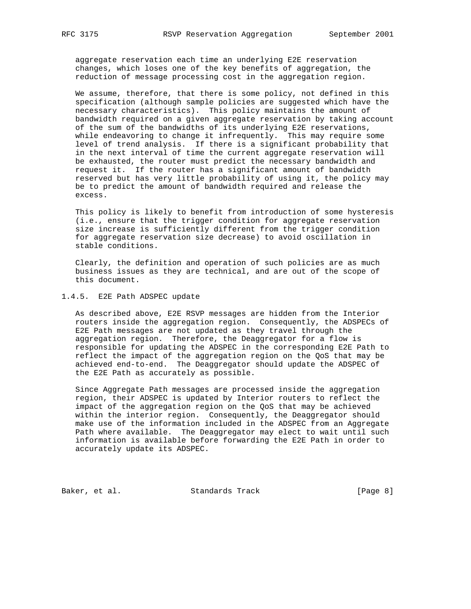aggregate reservation each time an underlying E2E reservation changes, which loses one of the key benefits of aggregation, the reduction of message processing cost in the aggregation region.

 We assume, therefore, that there is some policy, not defined in this specification (although sample policies are suggested which have the necessary characteristics). This policy maintains the amount of bandwidth required on a given aggregate reservation by taking account of the sum of the bandwidths of its underlying E2E reservations, while endeavoring to change it infrequently. This may require some level of trend analysis. If there is a significant probability that in the next interval of time the current aggregate reservation will be exhausted, the router must predict the necessary bandwidth and request it. If the router has a significant amount of bandwidth reserved but has very little probability of using it, the policy may be to predict the amount of bandwidth required and release the excess.

 This policy is likely to benefit from introduction of some hysteresis (i.e., ensure that the trigger condition for aggregate reservation size increase is sufficiently different from the trigger condition for aggregate reservation size decrease) to avoid oscillation in stable conditions.

 Clearly, the definition and operation of such policies are as much business issues as they are technical, and are out of the scope of this document.

### 1.4.5. E2E Path ADSPEC update

 As described above, E2E RSVP messages are hidden from the Interior routers inside the aggregation region. Consequently, the ADSPECs of E2E Path messages are not updated as they travel through the aggregation region. Therefore, the Deaggregator for a flow is responsible for updating the ADSPEC in the corresponding E2E Path to reflect the impact of the aggregation region on the QoS that may be achieved end-to-end. The Deaggregator should update the ADSPEC of the E2E Path as accurately as possible.

 Since Aggregate Path messages are processed inside the aggregation region, their ADSPEC is updated by Interior routers to reflect the impact of the aggregation region on the QoS that may be achieved within the interior region. Consequently, the Deaggregator should make use of the information included in the ADSPEC from an Aggregate Path where available. The Deaggregator may elect to wait until such information is available before forwarding the E2E Path in order to accurately update its ADSPEC.

Baker, et al. Standards Track [Page 8]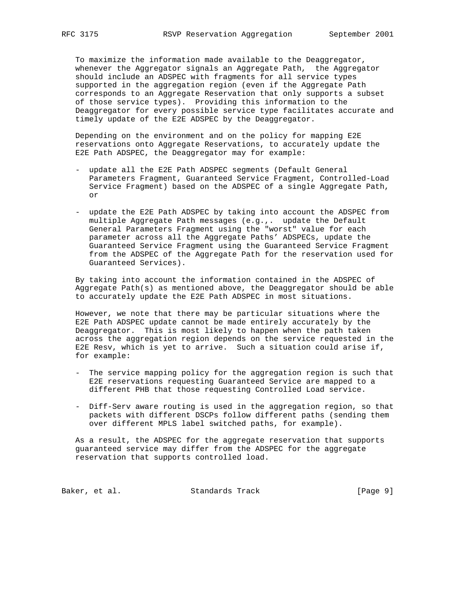To maximize the information made available to the Deaggregator, whenever the Aggregator signals an Aggregate Path, the Aggregator should include an ADSPEC with fragments for all service types supported in the aggregation region (even if the Aggregate Path corresponds to an Aggregate Reservation that only supports a subset of those service types). Providing this information to the Deaggregator for every possible service type facilitates accurate and timely update of the E2E ADSPEC by the Deaggregator.

 Depending on the environment and on the policy for mapping E2E reservations onto Aggregate Reservations, to accurately update the E2E Path ADSPEC, the Deaggregator may for example:

- update all the E2E Path ADSPEC segments (Default General Parameters Fragment, Guaranteed Service Fragment, Controlled-Load Service Fragment) based on the ADSPEC of a single Aggregate Path, or
- update the E2E Path ADSPEC by taking into account the ADSPEC from multiple Aggregate Path messages (e.g.,. update the Default General Parameters Fragment using the "worst" value for each parameter across all the Aggregate Paths' ADSPECs, update the Guaranteed Service Fragment using the Guaranteed Service Fragment from the ADSPEC of the Aggregate Path for the reservation used for Guaranteed Services).

 By taking into account the information contained in the ADSPEC of Aggregate Path(s) as mentioned above, the Deaggregator should be able to accurately update the E2E Path ADSPEC in most situations.

 However, we note that there may be particular situations where the E2E Path ADSPEC update cannot be made entirely accurately by the Deaggregator. This is most likely to happen when the path taken across the aggregation region depends on the service requested in the E2E Resv, which is yet to arrive. Such a situation could arise if, for example:

- The service mapping policy for the aggregation region is such that E2E reservations requesting Guaranteed Service are mapped to a different PHB that those requesting Controlled Load service.
- Diff-Serv aware routing is used in the aggregation region, so that packets with different DSCPs follow different paths (sending them over different MPLS label switched paths, for example).

 As a result, the ADSPEC for the aggregate reservation that supports guaranteed service may differ from the ADSPEC for the aggregate reservation that supports controlled load.

Baker, et al. Standards Track [Page 9]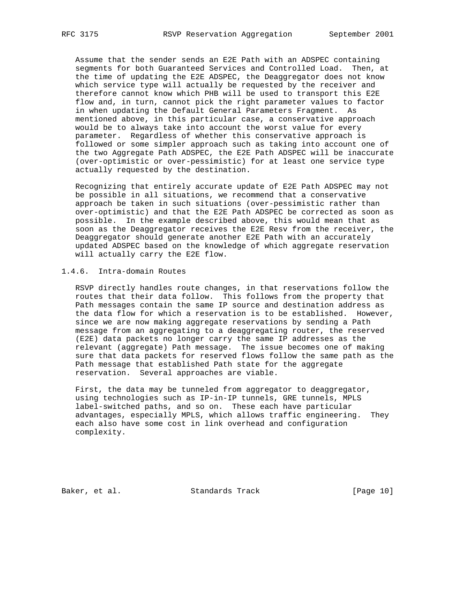Assume that the sender sends an E2E Path with an ADSPEC containing segments for both Guaranteed Services and Controlled Load. Then, at the time of updating the E2E ADSPEC, the Deaggregator does not know which service type will actually be requested by the receiver and therefore cannot know which PHB will be used to transport this E2E flow and, in turn, cannot pick the right parameter values to factor in when updating the Default General Parameters Fragment. As mentioned above, in this particular case, a conservative approach would be to always take into account the worst value for every parameter. Regardless of whether this conservative approach is followed or some simpler approach such as taking into account one of the two Aggregate Path ADSPEC, the E2E Path ADSPEC will be inaccurate (over-optimistic or over-pessimistic) for at least one service type actually requested by the destination.

 Recognizing that entirely accurate update of E2E Path ADSPEC may not be possible in all situations, we recommend that a conservative approach be taken in such situations (over-pessimistic rather than over-optimistic) and that the E2E Path ADSPEC be corrected as soon as possible. In the example described above, this would mean that as soon as the Deaggregator receives the E2E Resv from the receiver, the Deaggregator should generate another E2E Path with an accurately updated ADSPEC based on the knowledge of which aggregate reservation will actually carry the E2E flow.

## 1.4.6. Intra-domain Routes

 RSVP directly handles route changes, in that reservations follow the routes that their data follow. This follows from the property that Path messages contain the same IP source and destination address as the data flow for which a reservation is to be established. However, since we are now making aggregate reservations by sending a Path message from an aggregating to a deaggregating router, the reserved (E2E) data packets no longer carry the same IP addresses as the relevant (aggregate) Path message. The issue becomes one of making sure that data packets for reserved flows follow the same path as the Path message that established Path state for the aggregate reservation. Several approaches are viable.

 First, the data may be tunneled from aggregator to deaggregator, using technologies such as IP-in-IP tunnels, GRE tunnels, MPLS label-switched paths, and so on. These each have particular advantages, especially MPLS, which allows traffic engineering. They each also have some cost in link overhead and configuration complexity.

Baker, et al. Standards Track [Page 10]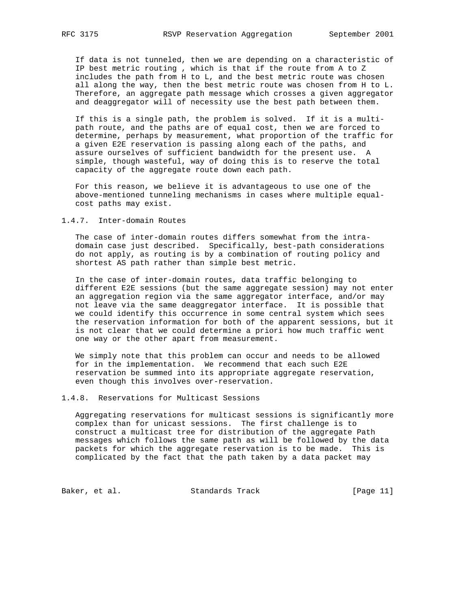If data is not tunneled, then we are depending on a characteristic of IP best metric routing , which is that if the route from A to Z includes the path from H to L, and the best metric route was chosen all along the way, then the best metric route was chosen from H to L. Therefore, an aggregate path message which crosses a given aggregator and deaggregator will of necessity use the best path between them.

 If this is a single path, the problem is solved. If it is a multi path route, and the paths are of equal cost, then we are forced to determine, perhaps by measurement, what proportion of the traffic for a given E2E reservation is passing along each of the paths, and assure ourselves of sufficient bandwidth for the present use. A simple, though wasteful, way of doing this is to reserve the total capacity of the aggregate route down each path.

 For this reason, we believe it is advantageous to use one of the above-mentioned tunneling mechanisms in cases where multiple equal cost paths may exist.

1.4.7. Inter-domain Routes

 The case of inter-domain routes differs somewhat from the intra domain case just described. Specifically, best-path considerations do not apply, as routing is by a combination of routing policy and shortest AS path rather than simple best metric.

 In the case of inter-domain routes, data traffic belonging to different E2E sessions (but the same aggregate session) may not enter an aggregation region via the same aggregator interface, and/or may not leave via the same deaggregator interface. It is possible that we could identify this occurrence in some central system which sees the reservation information for both of the apparent sessions, but it is not clear that we could determine a priori how much traffic went one way or the other apart from measurement.

 We simply note that this problem can occur and needs to be allowed for in the implementation. We recommend that each such E2E reservation be summed into its appropriate aggregate reservation, even though this involves over-reservation.

1.4.8. Reservations for Multicast Sessions

 Aggregating reservations for multicast sessions is significantly more complex than for unicast sessions. The first challenge is to construct a multicast tree for distribution of the aggregate Path messages which follows the same path as will be followed by the data packets for which the aggregate reservation is to be made. This is complicated by the fact that the path taken by a data packet may

Baker, et al. Standards Track [Page 11]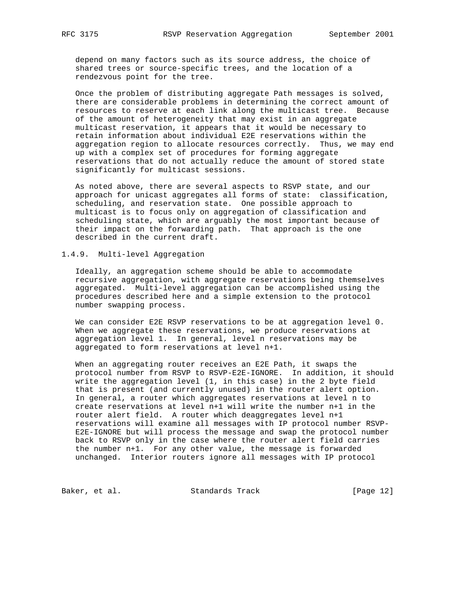depend on many factors such as its source address, the choice of shared trees or source-specific trees, and the location of a rendezvous point for the tree.

 Once the problem of distributing aggregate Path messages is solved, there are considerable problems in determining the correct amount of resources to reserve at each link along the multicast tree. Because of the amount of heterogeneity that may exist in an aggregate multicast reservation, it appears that it would be necessary to retain information about individual E2E reservations within the aggregation region to allocate resources correctly. Thus, we may end up with a complex set of procedures for forming aggregate reservations that do not actually reduce the amount of stored state significantly for multicast sessions.

 As noted above, there are several aspects to RSVP state, and our approach for unicast aggregates all forms of state: classification, scheduling, and reservation state. One possible approach to multicast is to focus only on aggregation of classification and scheduling state, which are arguably the most important because of their impact on the forwarding path. That approach is the one described in the current draft.

### 1.4.9. Multi-level Aggregation

 Ideally, an aggregation scheme should be able to accommodate recursive aggregation, with aggregate reservations being themselves aggregated. Multi-level aggregation can be accomplished using the procedures described here and a simple extension to the protocol number swapping process.

 We can consider E2E RSVP reservations to be at aggregation level 0. When we aggregate these reservations, we produce reservations at aggregation level 1. In general, level n reservations may be aggregated to form reservations at level n+1.

 When an aggregating router receives an E2E Path, it swaps the protocol number from RSVP to RSVP-E2E-IGNORE. In addition, it should write the aggregation level (1, in this case) in the 2 byte field that is present (and currently unused) in the router alert option. In general, a router which aggregates reservations at level n to create reservations at level n+1 will write the number n+1 in the router alert field. A router which deaggregates level n+1 reservations will examine all messages with IP protocol number RSVP- E2E-IGNORE but will process the message and swap the protocol number back to RSVP only in the case where the router alert field carries the number n+1. For any other value, the message is forwarded unchanged. Interior routers ignore all messages with IP protocol

Baker, et al. Standards Track [Page 12]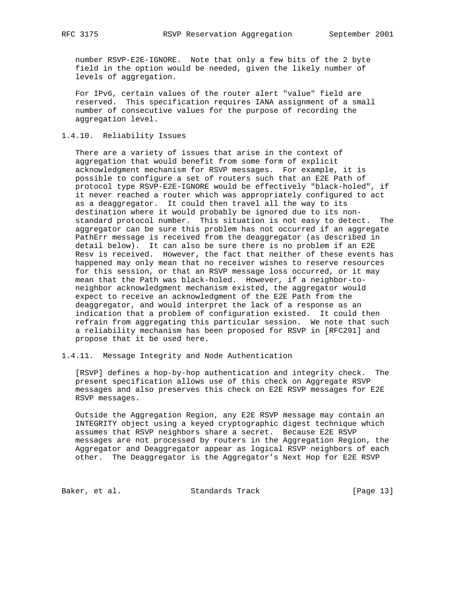number RSVP-E2E-IGNORE. Note that only a few bits of the 2 byte field in the option would be needed, given the likely number of levels of aggregation.

 For IPv6, certain values of the router alert "value" field are reserved. This specification requires IANA assignment of a small number of consecutive values for the purpose of recording the aggregation level.

## 1.4.10. Reliability Issues

 There are a variety of issues that arise in the context of aggregation that would benefit from some form of explicit acknowledgment mechanism for RSVP messages. For example, it is possible to configure a set of routers such that an E2E Path of protocol type RSVP-E2E-IGNORE would be effectively "black-holed", if it never reached a router which was appropriately configured to act as a deaggregator. It could then travel all the way to its destination where it would probably be ignored due to its non standard protocol number. This situation is not easy to detect. The aggregator can be sure this problem has not occurred if an aggregate PathErr message is received from the deaggregator (as described in detail below). It can also be sure there is no problem if an E2E Resv is received. However, the fact that neither of these events has happened may only mean that no receiver wishes to reserve resources for this session, or that an RSVP message loss occurred, or it may mean that the Path was black-holed. However, if a neighbor-to neighbor acknowledgment mechanism existed, the aggregator would expect to receive an acknowledgment of the E2E Path from the deaggregator, and would interpret the lack of a response as an indication that a problem of configuration existed. It could then refrain from aggregating this particular session. We note that such a reliability mechanism has been proposed for RSVP in [RFC291] and propose that it be used here.

1.4.11. Message Integrity and Node Authentication

 [RSVP] defines a hop-by-hop authentication and integrity check. The present specification allows use of this check on Aggregate RSVP messages and also preserves this check on E2E RSVP messages for E2E RSVP messages.

 Outside the Aggregation Region, any E2E RSVP message may contain an INTEGRITY object using a keyed cryptographic digest technique which assumes that RSVP neighbors share a secret. Because E2E RSVP messages are not processed by routers in the Aggregation Region, the Aggregator and Deaggregator appear as logical RSVP neighbors of each other. The Deaggregator is the Aggregator's Next Hop for E2E RSVP

Baker, et al. Standards Track [Page 13]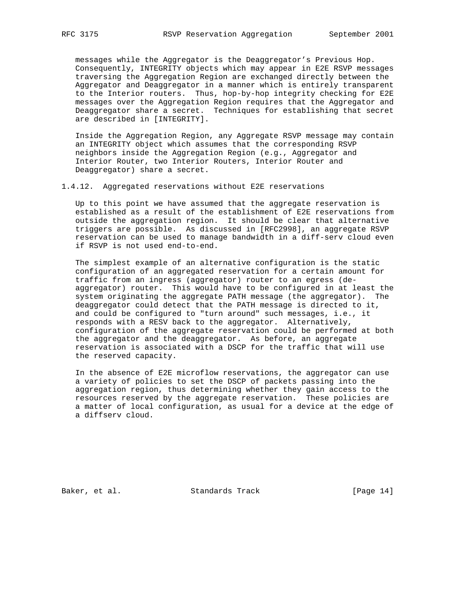messages while the Aggregator is the Deaggregator's Previous Hop. Consequently, INTEGRITY objects which may appear in E2E RSVP messages traversing the Aggregation Region are exchanged directly between the Aggregator and Deaggregator in a manner which is entirely transparent to the Interior routers. Thus, hop-by-hop integrity checking for E2E messages over the Aggregation Region requires that the Aggregator and Deaggregator share a secret. Techniques for establishing that secret are described in [INTEGRITY].

 Inside the Aggregation Region, any Aggregate RSVP message may contain an INTEGRITY object which assumes that the corresponding RSVP neighbors inside the Aggregation Region (e.g., Aggregator and Interior Router, two Interior Routers, Interior Router and Deaggregator) share a secret.

1.4.12. Aggregated reservations without E2E reservations

 Up to this point we have assumed that the aggregate reservation is established as a result of the establishment of E2E reservations from outside the aggregation region. It should be clear that alternative triggers are possible. As discussed in [RFC2998], an aggregate RSVP reservation can be used to manage bandwidth in a diff-serv cloud even if RSVP is not used end-to-end.

 The simplest example of an alternative configuration is the static configuration of an aggregated reservation for a certain amount for traffic from an ingress (aggregator) router to an egress (de aggregator) router. This would have to be configured in at least the system originating the aggregate PATH message (the aggregator). The deaggregator could detect that the PATH message is directed to it, and could be configured to "turn around" such messages, i.e., it responds with a RESV back to the aggregator. Alternatively, configuration of the aggregate reservation could be performed at both the aggregator and the deaggregator. As before, an aggregate reservation is associated with a DSCP for the traffic that will use the reserved capacity.

 In the absence of E2E microflow reservations, the aggregator can use a variety of policies to set the DSCP of packets passing into the aggregation region, thus determining whether they gain access to the resources reserved by the aggregate reservation. These policies are a matter of local configuration, as usual for a device at the edge of a diffserv cloud.

Baker, et al. Standards Track [Page 14]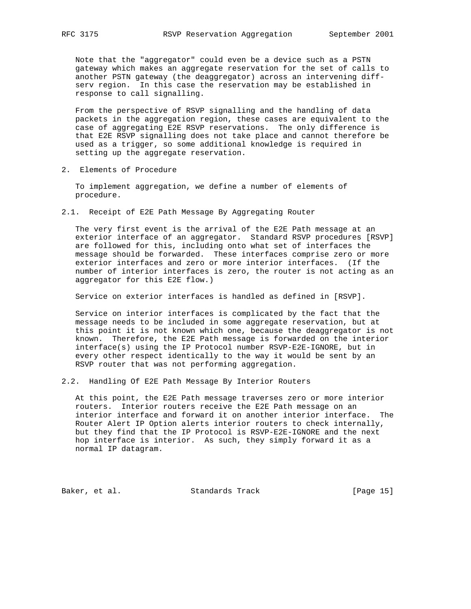Note that the "aggregator" could even be a device such as a PSTN gateway which makes an aggregate reservation for the set of calls to another PSTN gateway (the deaggregator) across an intervening diff serv region. In this case the reservation may be established in response to call signalling.

 From the perspective of RSVP signalling and the handling of data packets in the aggregation region, these cases are equivalent to the case of aggregating E2E RSVP reservations. The only difference is that E2E RSVP signalling does not take place and cannot therefore be used as a trigger, so some additional knowledge is required in setting up the aggregate reservation.

2. Elements of Procedure

 To implement aggregation, we define a number of elements of procedure.

2.1. Receipt of E2E Path Message By Aggregating Router

 The very first event is the arrival of the E2E Path message at an exterior interface of an aggregator. Standard RSVP procedures [RSVP] are followed for this, including onto what set of interfaces the message should be forwarded. These interfaces comprise zero or more exterior interfaces and zero or more interior interfaces. (If the number of interior interfaces is zero, the router is not acting as an aggregator for this E2E flow.)

Service on exterior interfaces is handled as defined in [RSVP].

 Service on interior interfaces is complicated by the fact that the message needs to be included in some aggregate reservation, but at this point it is not known which one, because the deaggregator is not known. Therefore, the E2E Path message is forwarded on the interior interface(s) using the IP Protocol number RSVP-E2E-IGNORE, but in every other respect identically to the way it would be sent by an RSVP router that was not performing aggregation.

2.2. Handling Of E2E Path Message By Interior Routers

 At this point, the E2E Path message traverses zero or more interior routers. Interior routers receive the E2E Path message on an interior interface and forward it on another interior interface. The Router Alert IP Option alerts interior routers to check internally, but they find that the IP Protocol is RSVP-E2E-IGNORE and the next hop interface is interior. As such, they simply forward it as a normal IP datagram.

Baker, et al. Standards Track [Page 15]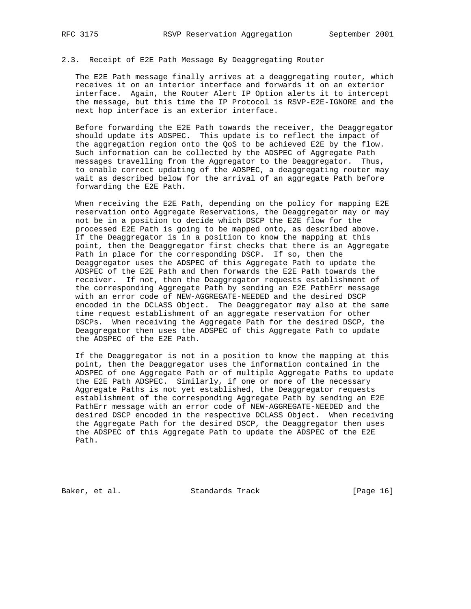### 2.3. Receipt of E2E Path Message By Deaggregating Router

 The E2E Path message finally arrives at a deaggregating router, which receives it on an interior interface and forwards it on an exterior interface. Again, the Router Alert IP Option alerts it to intercept the message, but this time the IP Protocol is RSVP-E2E-IGNORE and the next hop interface is an exterior interface.

 Before forwarding the E2E Path towards the receiver, the Deaggregator should update its ADSPEC. This update is to reflect the impact of the aggregation region onto the QoS to be achieved E2E by the flow. Such information can be collected by the ADSPEC of Aggregate Path messages travelling from the Aggregator to the Deaggregator. Thus, to enable correct updating of the ADSPEC, a deaggregating router may wait as described below for the arrival of an aggregate Path before forwarding the E2E Path.

When receiving the E2E Path, depending on the policy for mapping E2E reservation onto Aggregate Reservations, the Deaggregator may or may not be in a position to decide which DSCP the E2E flow for the processed E2E Path is going to be mapped onto, as described above. If the Deaggregator is in a position to know the mapping at this point, then the Deaggregator first checks that there is an Aggregate Path in place for the corresponding DSCP. If so, then the Deaggregator uses the ADSPEC of this Aggregate Path to update the ADSPEC of the E2E Path and then forwards the E2E Path towards the receiver. If not, then the Deaggregator requests establishment of the corresponding Aggregate Path by sending an E2E PathErr message with an error code of NEW-AGGREGATE-NEEDED and the desired DSCP encoded in the DCLASS Object. The Deaggregator may also at the same time request establishment of an aggregate reservation for other DSCPs. When receiving the Aggregate Path for the desired DSCP, the Deaggregator then uses the ADSPEC of this Aggregate Path to update the ADSPEC of the E2E Path.

 If the Deaggregator is not in a position to know the mapping at this point, then the Deaggregator uses the information contained in the ADSPEC of one Aggregate Path or of multiple Aggregate Paths to update the E2E Path ADSPEC. Similarly, if one or more of the necessary Aggregate Paths is not yet established, the Deaggregator requests establishment of the corresponding Aggregate Path by sending an E2E PathErr message with an error code of NEW-AGGREGATE-NEEDED and the desired DSCP encoded in the respective DCLASS Object. When receiving the Aggregate Path for the desired DSCP, the Deaggregator then uses the ADSPEC of this Aggregate Path to update the ADSPEC of the E2E Path.

Baker, et al. Standards Track [Page 16]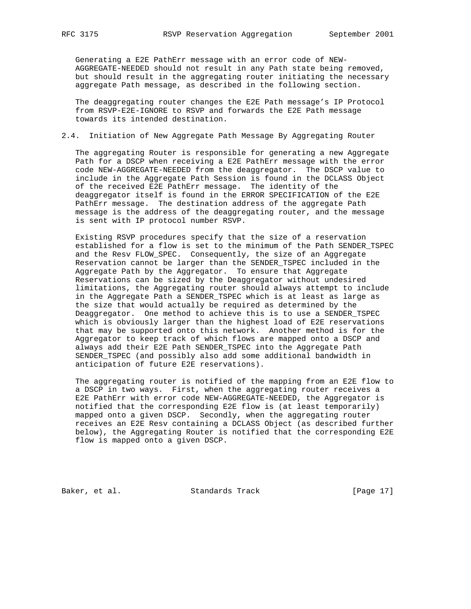Generating a E2E PathErr message with an error code of NEW- AGGREGATE-NEEDED should not result in any Path state being removed, but should result in the aggregating router initiating the necessary aggregate Path message, as described in the following section.

 The deaggregating router changes the E2E Path message's IP Protocol from RSVP-E2E-IGNORE to RSVP and forwards the E2E Path message towards its intended destination.

## 2.4. Initiation of New Aggregate Path Message By Aggregating Router

 The aggregating Router is responsible for generating a new Aggregate Path for a DSCP when receiving a E2E PathErr message with the error code NEW-AGGREGATE-NEEDED from the deaggregator. The DSCP value to include in the Aggregate Path Session is found in the DCLASS Object of the received E2E PathErr message. The identity of the deaggregator itself is found in the ERROR SPECIFICATION of the E2E PathErr message. The destination address of the aggregate Path message is the address of the deaggregating router, and the message is sent with IP protocol number RSVP.

 Existing RSVP procedures specify that the size of a reservation established for a flow is set to the minimum of the Path SENDER\_TSPEC and the Resv FLOW\_SPEC. Consequently, the size of an Aggregate Reservation cannot be larger than the SENDER\_TSPEC included in the Aggregate Path by the Aggregator. To ensure that Aggregate Reservations can be sized by the Deaggregator without undesired limitations, the Aggregating router should always attempt to include in the Aggregate Path a SENDER\_TSPEC which is at least as large as the size that would actually be required as determined by the Deaggregator. One method to achieve this is to use a SENDER\_TSPEC which is obviously larger than the highest load of E2E reservations that may be supported onto this network. Another method is for the Aggregator to keep track of which flows are mapped onto a DSCP and always add their E2E Path SENDER\_TSPEC into the Aggregate Path SENDER\_TSPEC (and possibly also add some additional bandwidth in anticipation of future E2E reservations).

 The aggregating router is notified of the mapping from an E2E flow to a DSCP in two ways. First, when the aggregating router receives a E2E PathErr with error code NEW-AGGREGATE-NEEDED, the Aggregator is notified that the corresponding E2E flow is (at least temporarily) mapped onto a given DSCP. Secondly, when the aggregating router receives an E2E Resv containing a DCLASS Object (as described further below), the Aggregating Router is notified that the corresponding E2E flow is mapped onto a given DSCP.

Baker, et al. Standards Track [Page 17]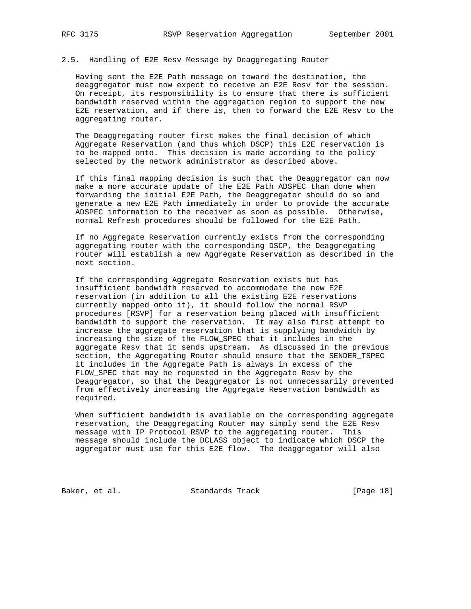### 2.5. Handling of E2E Resv Message by Deaggregating Router

 Having sent the E2E Path message on toward the destination, the deaggregator must now expect to receive an E2E Resv for the session. On receipt, its responsibility is to ensure that there is sufficient bandwidth reserved within the aggregation region to support the new E2E reservation, and if there is, then to forward the E2E Resv to the aggregating router.

 The Deaggregating router first makes the final decision of which Aggregate Reservation (and thus which DSCP) this E2E reservation is to be mapped onto. This decision is made according to the policy selected by the network administrator as described above.

 If this final mapping decision is such that the Deaggregator can now make a more accurate update of the E2E Path ADSPEC than done when forwarding the initial E2E Path, the Deaggregator should do so and generate a new E2E Path immediately in order to provide the accurate ADSPEC information to the receiver as soon as possible. Otherwise, normal Refresh procedures should be followed for the E2E Path.

 If no Aggregate Reservation currently exists from the corresponding aggregating router with the corresponding DSCP, the Deaggregating router will establish a new Aggregate Reservation as described in the next section.

 If the corresponding Aggregate Reservation exists but has insufficient bandwidth reserved to accommodate the new E2E reservation (in addition to all the existing E2E reservations currently mapped onto it), it should follow the normal RSVP procedures [RSVP] for a reservation being placed with insufficient bandwidth to support the reservation. It may also first attempt to increase the aggregate reservation that is supplying bandwidth by increasing the size of the FLOW\_SPEC that it includes in the aggregate Resv that it sends upstream. As discussed in the previous section, the Aggregating Router should ensure that the SENDER\_TSPEC it includes in the Aggregate Path is always in excess of the FLOW\_SPEC that may be requested in the Aggregate Resv by the Deaggregator, so that the Deaggregator is not unnecessarily prevented from effectively increasing the Aggregate Reservation bandwidth as required.

 When sufficient bandwidth is available on the corresponding aggregate reservation, the Deaggregating Router may simply send the E2E Resv message with IP Protocol RSVP to the aggregating router. This message should include the DCLASS object to indicate which DSCP the aggregator must use for this E2E flow. The deaggregator will also

Baker, et al. Standards Track [Page 18]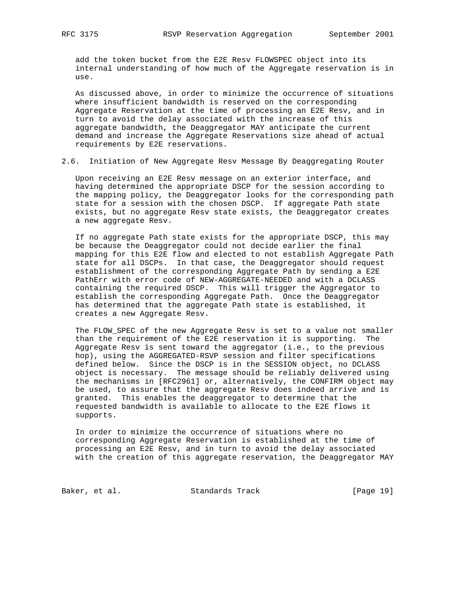add the token bucket from the E2E Resv FLOWSPEC object into its internal understanding of how much of the Aggregate reservation is in use.

 As discussed above, in order to minimize the occurrence of situations where insufficient bandwidth is reserved on the corresponding Aggregate Reservation at the time of processing an E2E Resv, and in turn to avoid the delay associated with the increase of this aggregate bandwidth, the Deaggregator MAY anticipate the current demand and increase the Aggregate Reservations size ahead of actual requirements by E2E reservations.

2.6. Initiation of New Aggregate Resv Message By Deaggregating Router

 Upon receiving an E2E Resv message on an exterior interface, and having determined the appropriate DSCP for the session according to the mapping policy, the Deaggregator looks for the corresponding path state for a session with the chosen DSCP. If aggregate Path state exists, but no aggregate Resv state exists, the Deaggregator creates a new aggregate Resv.

 If no aggregate Path state exists for the appropriate DSCP, this may be because the Deaggregator could not decide earlier the final mapping for this E2E flow and elected to not establish Aggregate Path state for all DSCPs. In that case, the Deaggregator should request establishment of the corresponding Aggregate Path by sending a E2E PathErr with error code of NEW-AGGREGATE-NEEDED and with a DCLASS containing the required DSCP. This will trigger the Aggregator to establish the corresponding Aggregate Path. Once the Deaggregator has determined that the aggregate Path state is established, it creates a new Aggregate Resv.

 The FLOW\_SPEC of the new Aggregate Resv is set to a value not smaller than the requirement of the E2E reservation it is supporting. The Aggregate Resv is sent toward the aggregator (i.e., to the previous hop), using the AGGREGATED-RSVP session and filter specifications defined below. Since the DSCP is in the SESSION object, no DCLASS object is necessary. The message should be reliably delivered using the mechanisms in [RFC2961] or, alternatively, the CONFIRM object may be used, to assure that the aggregate Resv does indeed arrive and is granted. This enables the deaggregator to determine that the requested bandwidth is available to allocate to the E2E flows it supports.

 In order to minimize the occurrence of situations where no corresponding Aggregate Reservation is established at the time of processing an E2E Resv, and in turn to avoid the delay associated with the creation of this aggregate reservation, the Deaggregator MAY

Baker, et al. Standards Track [Page 19]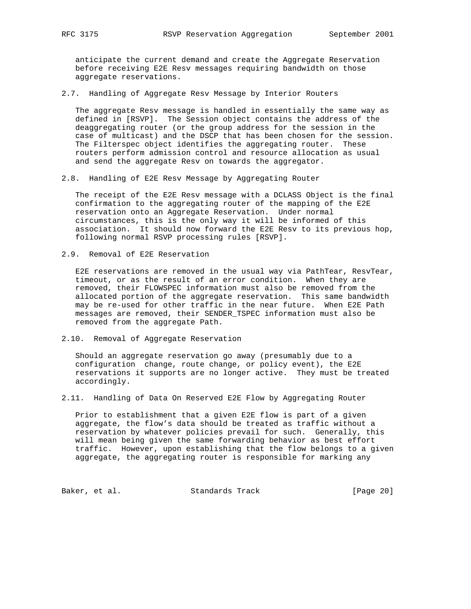anticipate the current demand and create the Aggregate Reservation before receiving E2E Resv messages requiring bandwidth on those aggregate reservations.

2.7. Handling of Aggregate Resv Message by Interior Routers

 The aggregate Resv message is handled in essentially the same way as defined in [RSVP]. The Session object contains the address of the deaggregating router (or the group address for the session in the case of multicast) and the DSCP that has been chosen for the session. The Filterspec object identifies the aggregating router. These routers perform admission control and resource allocation as usual and send the aggregate Resv on towards the aggregator.

2.8. Handling of E2E Resv Message by Aggregating Router

 The receipt of the E2E Resv message with a DCLASS Object is the final confirmation to the aggregating router of the mapping of the E2E reservation onto an Aggregate Reservation. Under normal circumstances, this is the only way it will be informed of this association. It should now forward the E2E Resv to its previous hop, following normal RSVP processing rules [RSVP].

2.9. Removal of E2E Reservation

 E2E reservations are removed in the usual way via PathTear, ResvTear, timeout, or as the result of an error condition. When they are removed, their FLOWSPEC information must also be removed from the allocated portion of the aggregate reservation. This same bandwidth may be re-used for other traffic in the near future. When E2E Path messages are removed, their SENDER\_TSPEC information must also be removed from the aggregate Path.

2.10. Removal of Aggregate Reservation

 Should an aggregate reservation go away (presumably due to a configuration change, route change, or policy event), the E2E reservations it supports are no longer active. They must be treated accordingly.

2.11. Handling of Data On Reserved E2E Flow by Aggregating Router

 Prior to establishment that a given E2E flow is part of a given aggregate, the flow's data should be treated as traffic without a reservation by whatever policies prevail for such. Generally, this will mean being given the same forwarding behavior as best effort traffic. However, upon establishing that the flow belongs to a given aggregate, the aggregating router is responsible for marking any

Baker, et al. Standards Track [Page 20]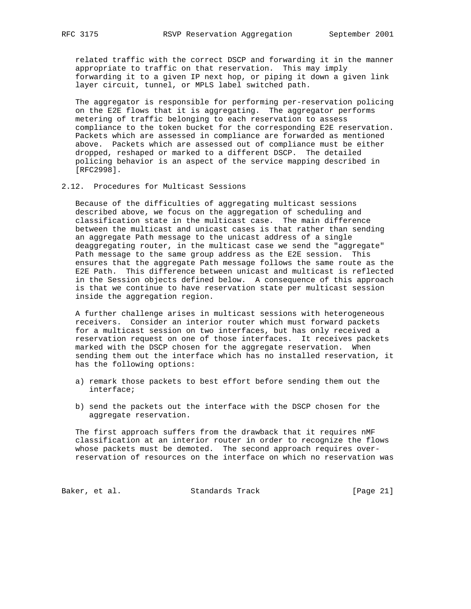related traffic with the correct DSCP and forwarding it in the manner appropriate to traffic on that reservation. This may imply forwarding it to a given IP next hop, or piping it down a given link layer circuit, tunnel, or MPLS label switched path.

 The aggregator is responsible for performing per-reservation policing on the E2E flows that it is aggregating. The aggregator performs metering of traffic belonging to each reservation to assess compliance to the token bucket for the corresponding E2E reservation. Packets which are assessed in compliance are forwarded as mentioned above. Packets which are assessed out of compliance must be either dropped, reshaped or marked to a different DSCP. The detailed policing behavior is an aspect of the service mapping described in [RFC2998].

### 2.12. Procedures for Multicast Sessions

 Because of the difficulties of aggregating multicast sessions described above, we focus on the aggregation of scheduling and classification state in the multicast case. The main difference between the multicast and unicast cases is that rather than sending an aggregate Path message to the unicast address of a single deaggregating router, in the multicast case we send the "aggregate" Path message to the same group address as the E2E session. This ensures that the aggregate Path message follows the same route as the E2E Path. This difference between unicast and multicast is reflected in the Session objects defined below. A consequence of this approach is that we continue to have reservation state per multicast session inside the aggregation region.

 A further challenge arises in multicast sessions with heterogeneous receivers. Consider an interior router which must forward packets for a multicast session on two interfaces, but has only received a reservation request on one of those interfaces. It receives packets marked with the DSCP chosen for the aggregate reservation. When sending them out the interface which has no installed reservation, it has the following options:

- a) remark those packets to best effort before sending them out the interface;
- b) send the packets out the interface with the DSCP chosen for the aggregate reservation.

 The first approach suffers from the drawback that it requires nMF classification at an interior router in order to recognize the flows whose packets must be demoted. The second approach requires over reservation of resources on the interface on which no reservation was

Baker, et al. Standards Track [Page 21]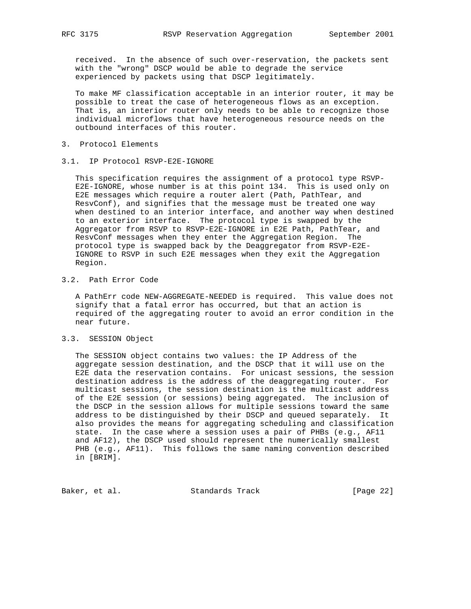received. In the absence of such over-reservation, the packets sent with the "wrong" DSCP would be able to degrade the service experienced by packets using that DSCP legitimately.

 To make MF classification acceptable in an interior router, it may be possible to treat the case of heterogeneous flows as an exception. That is, an interior router only needs to be able to recognize those individual microflows that have heterogeneous resource needs on the outbound interfaces of this router.

- 3. Protocol Elements
- 3.1. IP Protocol RSVP-E2E-IGNORE

 This specification requires the assignment of a protocol type RSVP- E2E-IGNORE, whose number is at this point 134. This is used only on E2E messages which require a router alert (Path, PathTear, and ResvConf), and signifies that the message must be treated one way when destined to an interior interface, and another way when destined to an exterior interface. The protocol type is swapped by the Aggregator from RSVP to RSVP-E2E-IGNORE in E2E Path, PathTear, and ResvConf messages when they enter the Aggregation Region. The protocol type is swapped back by the Deaggregator from RSVP-E2E- IGNORE to RSVP in such E2E messages when they exit the Aggregation Region.

## 3.2. Path Error Code

 A PathErr code NEW-AGGREGATE-NEEDED is required. This value does not signify that a fatal error has occurred, but that an action is required of the aggregating router to avoid an error condition in the near future.

## 3.3. SESSION Object

 The SESSION object contains two values: the IP Address of the aggregate session destination, and the DSCP that it will use on the E2E data the reservation contains. For unicast sessions, the session destination address is the address of the deaggregating router. For multicast sessions, the session destination is the multicast address of the E2E session (or sessions) being aggregated. The inclusion of the DSCP in the session allows for multiple sessions toward the same address to be distinguished by their DSCP and queued separately. It also provides the means for aggregating scheduling and classification state. In the case where a session uses a pair of PHBs (e.g., AF11 and AF12), the DSCP used should represent the numerically smallest PHB (e.g., AF11). This follows the same naming convention described in [BRIM].

Baker, et al. Standards Track [Page 22]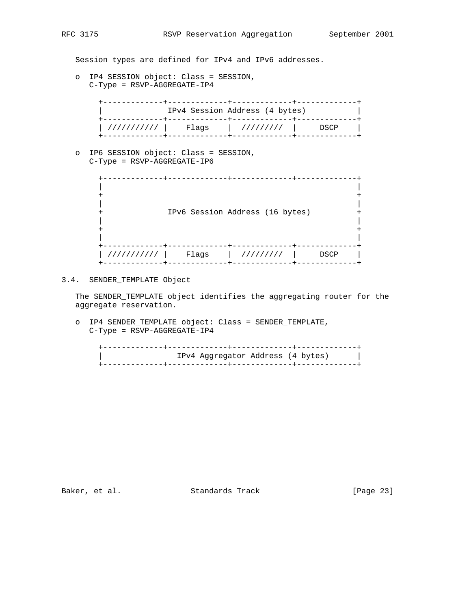Session types are defined for IPv4 and IPv6 addresses.

 o IP4 SESSION object: Class = SESSION, C-Type = RSVP-AGGREGATE-IP4

|             | IPv4 Session Address (4 bytes) |           |      |
|-------------|--------------------------------|-----------|------|
| /////////// | Flaqs                          | ///////// | DSCP |
|             |                                |           |      |

 o IP6 SESSION object: Class = SESSION, C-Type = RSVP-AGGREGATE-IP6

|            |       | IPv6 Session Address (16 bytes) |      |  |
|------------|-------|---------------------------------|------|--|
| 1111111111 | Flags | 111111111                       | DSCP |  |

# 3.4. SENDER\_TEMPLATE Object

 The SENDER\_TEMPLATE object identifies the aggregating router for the aggregate reservation.

 o IP4 SENDER\_TEMPLATE object: Class = SENDER\_TEMPLATE, C-Type = RSVP-AGGREGATE-IP4

| IPv4 Aggregator Address (4 bytes) |  |
|-----------------------------------|--|
|                                   |  |

Baker, et al. Standards Track [Page 23]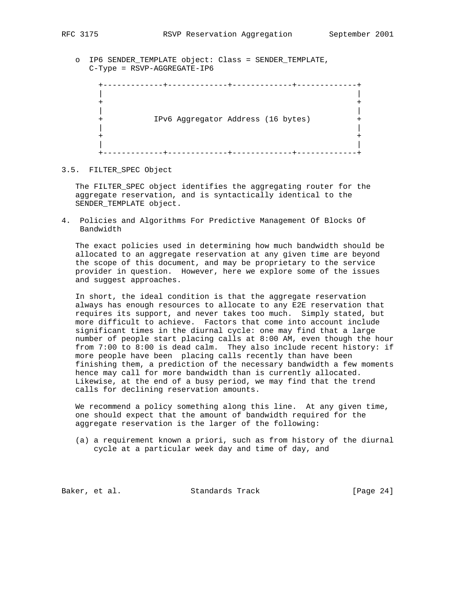o IP6 SENDER\_TEMPLATE object: Class = SENDER\_TEMPLATE, C-Type = RSVP-AGGREGATE-IP6

 +-------------+-------------+-------------+-------------+ | | + + | | + IPv6 Aggregator Address (16 bytes) + | | + + | | +-------------+-------------+-------------+-------------+

### 3.5. FILTER\_SPEC Object

 The FILTER\_SPEC object identifies the aggregating router for the aggregate reservation, and is syntactically identical to the SENDER\_TEMPLATE object.

4. Policies and Algorithms For Predictive Management Of Blocks Of Bandwidth

 The exact policies used in determining how much bandwidth should be allocated to an aggregate reservation at any given time are beyond the scope of this document, and may be proprietary to the service provider in question. However, here we explore some of the issues and suggest approaches.

 In short, the ideal condition is that the aggregate reservation always has enough resources to allocate to any E2E reservation that requires its support, and never takes too much. Simply stated, but more difficult to achieve. Factors that come into account include significant times in the diurnal cycle: one may find that a large number of people start placing calls at 8:00 AM, even though the hour from 7:00 to 8:00 is dead calm. They also include recent history: if more people have been placing calls recently than have been finishing them, a prediction of the necessary bandwidth a few moments hence may call for more bandwidth than is currently allocated. Likewise, at the end of a busy period, we may find that the trend calls for declining reservation amounts.

 We recommend a policy something along this line. At any given time, one should expect that the amount of bandwidth required for the aggregate reservation is the larger of the following:

 (a) a requirement known a priori, such as from history of the diurnal cycle at a particular week day and time of day, and

Baker, et al. Standards Track [Page 24]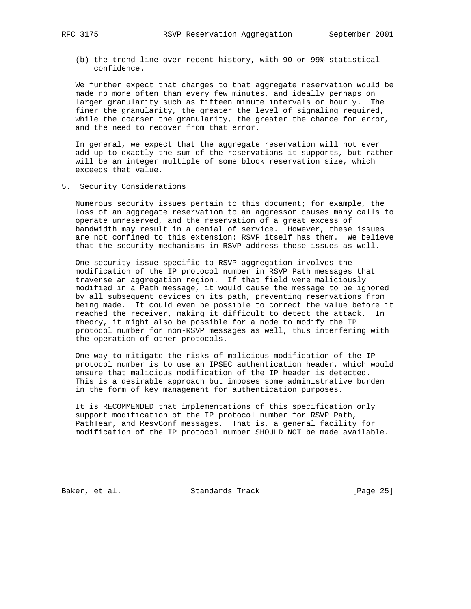(b) the trend line over recent history, with 90 or 99% statistical confidence.

 We further expect that changes to that aggregate reservation would be made no more often than every few minutes, and ideally perhaps on larger granularity such as fifteen minute intervals or hourly. The finer the granularity, the greater the level of signaling required, while the coarser the granularity, the greater the chance for error, and the need to recover from that error.

 In general, we expect that the aggregate reservation will not ever add up to exactly the sum of the reservations it supports, but rather will be an integer multiple of some block reservation size, which exceeds that value.

5. Security Considerations

 Numerous security issues pertain to this document; for example, the loss of an aggregate reservation to an aggressor causes many calls to operate unreserved, and the reservation of a great excess of bandwidth may result in a denial of service. However, these issues are not confined to this extension: RSVP itself has them. We believe that the security mechanisms in RSVP address these issues as well.

 One security issue specific to RSVP aggregation involves the modification of the IP protocol number in RSVP Path messages that traverse an aggregation region. If that field were maliciously modified in a Path message, it would cause the message to be ignored by all subsequent devices on its path, preventing reservations from being made. It could even be possible to correct the value before it reached the receiver, making it difficult to detect the attack. In theory, it might also be possible for a node to modify the IP protocol number for non-RSVP messages as well, thus interfering with the operation of other protocols.

 One way to mitigate the risks of malicious modification of the IP protocol number is to use an IPSEC authentication header, which would ensure that malicious modification of the IP header is detected. This is a desirable approach but imposes some administrative burden in the form of key management for authentication purposes.

 It is RECOMMENDED that implementations of this specification only support modification of the IP protocol number for RSVP Path, PathTear, and ResvConf messages. That is, a general facility for modification of the IP protocol number SHOULD NOT be made available.

Baker, et al. Standards Track [Page 25]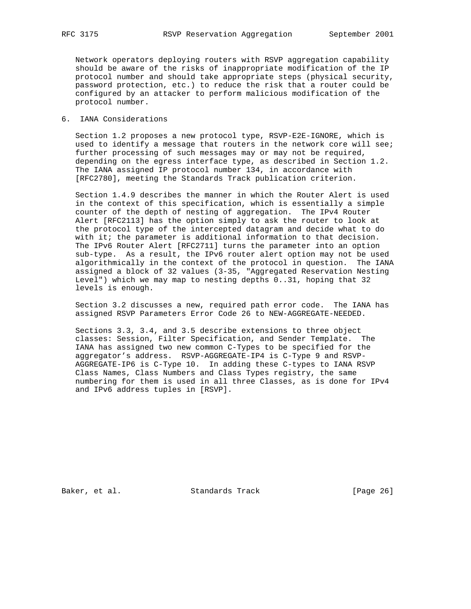Network operators deploying routers with RSVP aggregation capability should be aware of the risks of inappropriate modification of the IP protocol number and should take appropriate steps (physical security, password protection, etc.) to reduce the risk that a router could be configured by an attacker to perform malicious modification of the protocol number.

6. IANA Considerations

 Section 1.2 proposes a new protocol type, RSVP-E2E-IGNORE, which is used to identify a message that routers in the network core will see; further processing of such messages may or may not be required, depending on the egress interface type, as described in Section 1.2. The IANA assigned IP protocol number 134, in accordance with [RFC2780], meeting the Standards Track publication criterion.

 Section 1.4.9 describes the manner in which the Router Alert is used in the context of this specification, which is essentially a simple counter of the depth of nesting of aggregation. The IPv4 Router Alert [RFC2113] has the option simply to ask the router to look at the protocol type of the intercepted datagram and decide what to do with it; the parameter is additional information to that decision. The IPv6 Router Alert [RFC2711] turns the parameter into an option sub-type. As a result, the IPv6 router alert option may not be used algorithmically in the context of the protocol in question. The IANA assigned a block of 32 values (3-35, "Aggregated Reservation Nesting Level") which we may map to nesting depths 0..31, hoping that 32 levels is enough.

 Section 3.2 discusses a new, required path error code. The IANA has assigned RSVP Parameters Error Code 26 to NEW-AGGREGATE-NEEDED.

 Sections 3.3, 3.4, and 3.5 describe extensions to three object classes: Session, Filter Specification, and Sender Template. The IANA has assigned two new common C-Types to be specified for the aggregator's address. RSVP-AGGREGATE-IP4 is C-Type 9 and RSVP- AGGREGATE-IP6 is C-Type 10. In adding these C-types to IANA RSVP Class Names, Class Numbers and Class Types registry, the same numbering for them is used in all three Classes, as is done for IPv4 and IPv6 address tuples in [RSVP].

Baker, et al. Standards Track [Page 26]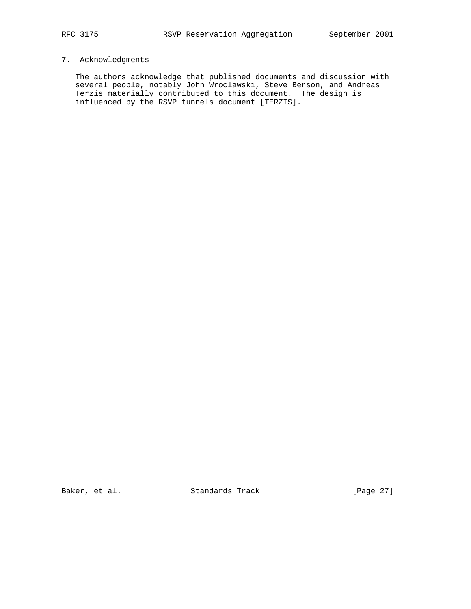## 7. Acknowledgments

 The authors acknowledge that published documents and discussion with several people, notably John Wroclawski, Steve Berson, and Andreas Terzis materially contributed to this document. The design is influenced by the RSVP tunnels document [TERZIS].

Baker, et al. Standards Track [Page 27]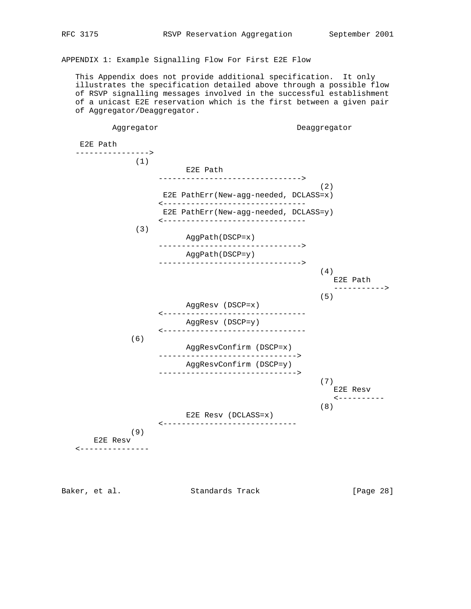APPENDIX 1: Example Signalling Flow For First E2E Flow

 This Appendix does not provide additional specification. It only illustrates the specification detailed above through a possible flow of RSVP signalling messages involved in the successful establishment of a unicast E2E reservation which is the first between a given pair of Aggregator/Deaggregator.

Aggregator Deaggregator E2E Path ----------------> (1) E2E Path -------------------------------> (2) E2E PathErr(New-agg-needed, DCLASS=x) <------------------------------- E2E PathErr(New-agg-needed, DCLASS=y) <------------------------------- (3) AggPath(DSCP=x) -------------------------------> AggPath(DSCP=y) ------------------------------->  $(4)$  E2E Path -----------> (5) AggResv (DSCP=x) <------------------------------- AggResv (DSCP=y) <------------------------------- (6) AggResvConfirm (DSCP=x) ------------------------------> AggResvConfirm (DSCP=y) ------------------------------> (7) E2E Resv <---------- (8) E2E Resv (DCLASS=x) <----------------------------- (9) E2E Resv <---------------

Baker, et al. Standards Track [Page 28]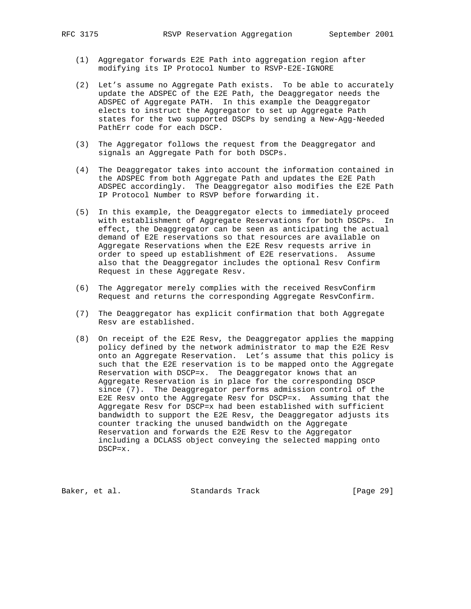- (1) Aggregator forwards E2E Path into aggregation region after modifying its IP Protocol Number to RSVP-E2E-IGNORE
- (2) Let's assume no Aggregate Path exists. To be able to accurately update the ADSPEC of the E2E Path, the Deaggregator needs the ADSPEC of Aggregate PATH. In this example the Deaggregator elects to instruct the Aggregator to set up Aggregate Path states for the two supported DSCPs by sending a New-Agg-Needed PathErr code for each DSCP.
- (3) The Aggregator follows the request from the Deaggregator and signals an Aggregate Path for both DSCPs.
- (4) The Deaggregator takes into account the information contained in the ADSPEC from both Aggregate Path and updates the E2E Path ADSPEC accordingly. The Deaggregator also modifies the E2E Path IP Protocol Number to RSVP before forwarding it.
- (5) In this example, the Deaggregator elects to immediately proceed with establishment of Aggregate Reservations for both DSCPs. In effect, the Deaggregator can be seen as anticipating the actual demand of E2E reservations so that resources are available on Aggregate Reservations when the E2E Resv requests arrive in order to speed up establishment of E2E reservations. Assume also that the Deaggregator includes the optional Resv Confirm Request in these Aggregate Resv.
- (6) The Aggregator merely complies with the received ResvConfirm Request and returns the corresponding Aggregate ResvConfirm.
- (7) The Deaggregator has explicit confirmation that both Aggregate Resv are established.
- (8) On receipt of the E2E Resv, the Deaggregator applies the mapping policy defined by the network administrator to map the E2E Resv onto an Aggregate Reservation. Let's assume that this policy is such that the E2E reservation is to be mapped onto the Aggregate Reservation with DSCP=x. The Deaggregator knows that an Aggregate Reservation is in place for the corresponding DSCP since (7). The Deaggregator performs admission control of the E2E Resv onto the Aggregate Resv for DSCP=x. Assuming that the Aggregate Resv for DSCP=x had been established with sufficient bandwidth to support the E2E Resv, the Deaggregator adjusts its counter tracking the unused bandwidth on the Aggregate Reservation and forwards the E2E Resv to the Aggregator including a DCLASS object conveying the selected mapping onto DSCP=x.

Baker, et al. Standards Track [Page 29]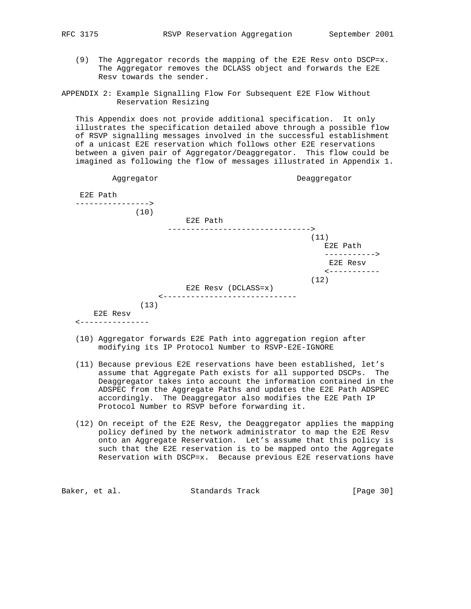- - (9) The Aggregator records the mapping of the E2E Resv onto DSCP=x. The Aggregator removes the DCLASS object and forwards the E2E Resv towards the sender.
- APPENDIX 2: Example Signalling Flow For Subsequent E2E Flow Without Reservation Resizing

 This Appendix does not provide additional specification. It only illustrates the specification detailed above through a possible flow of RSVP signalling messages involved in the successful establishment of a unicast E2E reservation which follows other E2E reservations between a given pair of Aggregator/Deaggregator. This flow could be imagined as following the flow of messages illustrated in Appendix 1.

| Aggregator       |                               | Deaggregator          |
|------------------|-------------------------------|-----------------------|
| E2E Path         |                               |                       |
| ---------------> |                               |                       |
| (10)             | E2E Path                      |                       |
|                  | ------------------>           |                       |
|                  |                               | (11)                  |
|                  |                               | E2E Path              |
|                  |                               | ----------->          |
|                  |                               | E2E Resv              |
|                  |                               | <b>&lt;----------</b> |
|                  |                               | (12)                  |
|                  | E2E Resv (DCLASS=x)           |                       |
|                  | ----------------------------- |                       |
| (13)             |                               |                       |
| E2E Resv         |                               |                       |

- (10) Aggregator forwards E2E Path into aggregation region after modifying its IP Protocol Number to RSVP-E2E-IGNORE
- (11) Because previous E2E reservations have been established, let's assume that Aggregate Path exists for all supported DSCPs. The Deaggregator takes into account the information contained in the ADSPEC from the Aggregate Paths and updates the E2E Path ADSPEC accordingly. The Deaggregator also modifies the E2E Path IP Protocol Number to RSVP before forwarding it.
- (12) On receipt of the E2E Resv, the Deaggregator applies the mapping policy defined by the network administrator to map the E2E Resv onto an Aggregate Reservation. Let's assume that this policy is such that the E2E reservation is to be mapped onto the Aggregate Reservation with DSCP=x. Because previous E2E reservations have

| Baker, et al.<br>Standards Track |  |  |  | [Page 30] |
|----------------------------------|--|--|--|-----------|
|----------------------------------|--|--|--|-----------|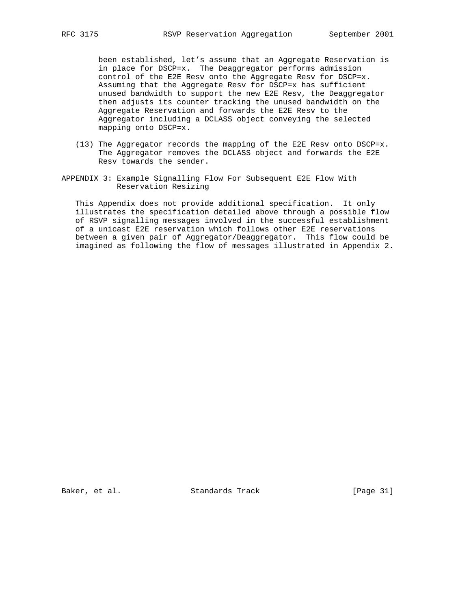been established, let's assume that an Aggregate Reservation is in place for DSCP=x. The Deaggregator performs admission control of the E2E Resv onto the Aggregate Resv for DSCP=x. Assuming that the Aggregate Resv for DSCP=x has sufficient unused bandwidth to support the new E2E Resv, the Deaggregator then adjusts its counter tracking the unused bandwidth on the Aggregate Reservation and forwards the E2E Resv to the Aggregator including a DCLASS object conveying the selected mapping onto DSCP=x.

- (13) The Aggregator records the mapping of the E2E Resv onto DSCP=x. The Aggregator removes the DCLASS object and forwards the E2E Resv towards the sender.
- APPENDIX 3: Example Signalling Flow For Subsequent E2E Flow With Reservation Resizing

 This Appendix does not provide additional specification. It only illustrates the specification detailed above through a possible flow of RSVP signalling messages involved in the successful establishment of a unicast E2E reservation which follows other E2E reservations between a given pair of Aggregator/Deaggregator. This flow could be imagined as following the flow of messages illustrated in Appendix 2.

Baker, et al. Standards Track [Page 31]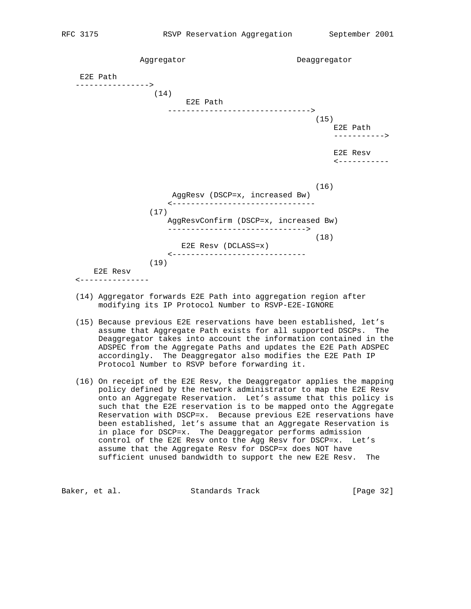Aggregator Deaggregator E2E Path ----------------> (14) E2E Path -------------------------------> (15) E2E Path -----------> E2E Resv <----------- (16) AggResv (DSCP=x, increased Bw) <------------------------------- (17) AggResvConfirm (DSCP=x, increased Bw) ------------------------------> (18) E2E Resv (DCLASS=x) <----------------------------- (19) E2E Resv <---------------

- (14) Aggregator forwards E2E Path into aggregation region after modifying its IP Protocol Number to RSVP-E2E-IGNORE
- (15) Because previous E2E reservations have been established, let's assume that Aggregate Path exists for all supported DSCPs. The Deaggregator takes into account the information contained in the ADSPEC from the Aggregate Paths and updates the E2E Path ADSPEC accordingly. The Deaggregator also modifies the E2E Path IP Protocol Number to RSVP before forwarding it.
- (16) On receipt of the E2E Resv, the Deaggregator applies the mapping policy defined by the network administrator to map the E2E Resv onto an Aggregate Reservation. Let's assume that this policy is such that the E2E reservation is to be mapped onto the Aggregate Reservation with DSCP=x. Because previous E2E reservations have been established, let's assume that an Aggregate Reservation is in place for DSCP=x. The Deaggregator performs admission control of the E2E Resv onto the Agg Resv for DSCP=x. Let's assume that the Aggregate Resv for DSCP=x does NOT have sufficient unused bandwidth to support the new E2E Resv. The

Baker, et al. Standards Track [Page 32]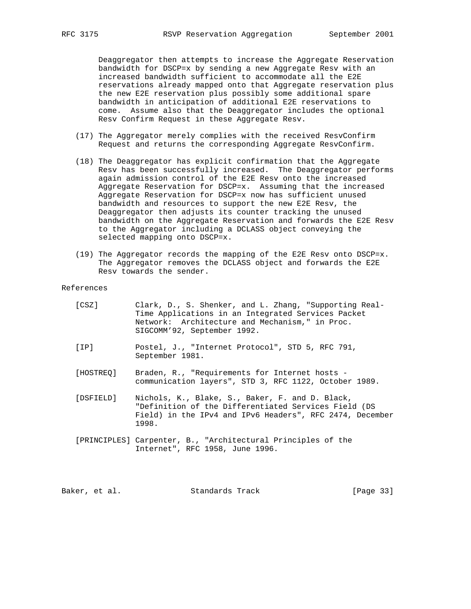Deaggregator then attempts to increase the Aggregate Reservation bandwidth for DSCP=x by sending a new Aggregate Resv with an increased bandwidth sufficient to accommodate all the E2E reservations already mapped onto that Aggregate reservation plus the new E2E reservation plus possibly some additional spare bandwidth in anticipation of additional E2E reservations to come. Assume also that the Deaggregator includes the optional Resv Confirm Request in these Aggregate Resv.

- (17) The Aggregator merely complies with the received ResvConfirm Request and returns the corresponding Aggregate ResvConfirm.
- (18) The Deaggregator has explicit confirmation that the Aggregate Resv has been successfully increased. The Deaggregator performs again admission control of the E2E Resv onto the increased Aggregate Reservation for DSCP=x. Assuming that the increased Aggregate Reservation for DSCP=x now has sufficient unused bandwidth and resources to support the new E2E Resv, the Deaggregator then adjusts its counter tracking the unused bandwidth on the Aggregate Reservation and forwards the E2E Resv to the Aggregator including a DCLASS object conveying the selected mapping onto DSCP=x.
	- (19) The Aggregator records the mapping of the E2E Resv onto DSCP=x. The Aggregator removes the DCLASS object and forwards the E2E Resv towards the sender.

#### References

| [CSZ]     | Clark, D., S. Shenker, and L. Zhang, "Supporting Real-<br>Time Applications in an Integrated Services Packet<br>Network: Architecture and Mechanism," in Proc.<br>SIGCOMM'92, September 1992. |
|-----------|-----------------------------------------------------------------------------------------------------------------------------------------------------------------------------------------------|
| [IP]      | Postel, J., "Internet Protocol", STD 5, RFC 791,<br>September 1981.                                                                                                                           |
| [HOSTREO] | Braden, R., "Requirements for Internet hosts -<br>communication layers", STD 3, RFC 1122, October 1989.                                                                                       |
| [DSFIELD] | Nichols, K., Blake, S., Baker, F. and D. Black,<br>"Definition of the Differentiated Services Field (DS<br>Field) in the IPv4 and IPv6 Headers", RFC 2474, December<br>1998.                  |
|           | [PRINCIPLES] Carpenter, B., "Architectural Principles of the<br>Internet", RFC 1958, June 1996.                                                                                               |

Baker, et al. Standards Track [Page 33]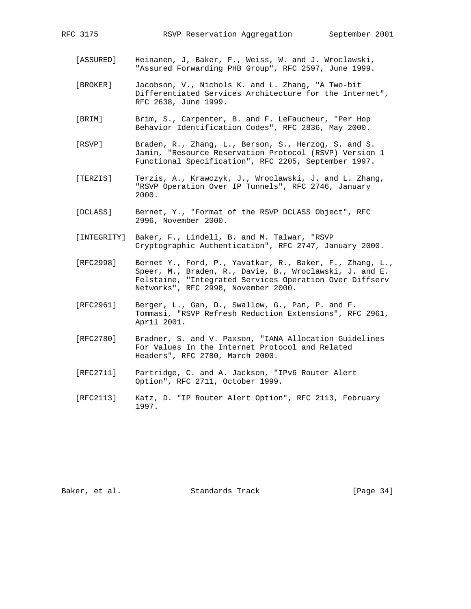- [ASSURED] Heinanen, J, Baker, F., Weiss, W. and J. Wroclawski, "Assured Forwarding PHB Group", RFC 2597, June 1999.
- [BROKER] Jacobson, V., Nichols K. and L. Zhang, "A Two-bit Differentiated Services Architecture for the Internet", RFC 2638, June 1999.
- [BRIM] Brim, S., Carpenter, B. and F. LeFaucheur, "Per Hop Behavior Identification Codes", RFC 2836, May 2000.
- [RSVP] Braden, R., Zhang, L., Berson, S., Herzog, S. and S. Jamin, "Resource Reservation Protocol (RSVP) Version 1 Functional Specification", RFC 2205, September 1997.
- [TERZIS] Terzis, A., Krawczyk, J., Wroclawski, J. and L. Zhang, "RSVP Operation Over IP Tunnels", RFC 2746, January 2000.
- [DCLASS] Bernet, Y., "Format of the RSVP DCLASS Object", RFC 2996, November 2000.
- [INTEGRITY] Baker, F., Lindell, B. and M. Talwar, "RSVP Cryptographic Authentication", RFC 2747, January 2000.
- [RFC2998] Bernet Y., Ford, P., Yavatkar, R., Baker, F., Zhang, L., Speer, M., Braden, R., Davie, B., Wroclawski, J. and E. Felstaine, "Integrated Services Operation Over Diffserv Networks", RFC 2998, November 2000.
- [RFC2961] Berger, L., Gan, D., Swallow, G., Pan, P. and F. Tommasi, "RSVP Refresh Reduction Extensions", RFC 2961, April 2001.
- [RFC2780] Bradner, S. and V. Paxson, "IANA Allocation Guidelines For Values In the Internet Protocol and Related Headers", RFC 2780, March 2000.
- [RFC2711] Partridge, C. and A. Jackson, "IPv6 Router Alert Option", RFC 2711, October 1999.
- [RFC2113] Katz, D. "IP Router Alert Option", RFC 2113, February 1997.

Baker, et al. Standards Track [Page 34]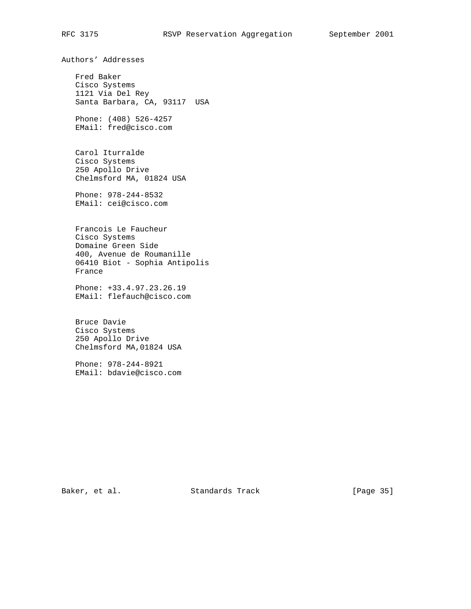## RFC 3175 RSVP Reservation Aggregation September 2001

Authors' Addresses

 Fred Baker Cisco Systems 1121 Via Del Rey Santa Barbara, CA, 93117 USA

 Phone: (408) 526-4257 EMail: fred@cisco.com

 Carol Iturralde Cisco Systems 250 Apollo Drive Chelmsford MA, 01824 USA

 Phone: 978-244-8532 EMail: cei@cisco.com

 Francois Le Faucheur Cisco Systems Domaine Green Side 400, Avenue de Roumanille 06410 Biot - Sophia Antipolis France

 Phone: +33.4.97.23.26.19 EMail: flefauch@cisco.com

 Bruce Davie Cisco Systems 250 Apollo Drive Chelmsford MA,01824 USA

 Phone: 978-244-8921 EMail: bdavie@cisco.com

Baker, et al. Standards Track [Page 35]